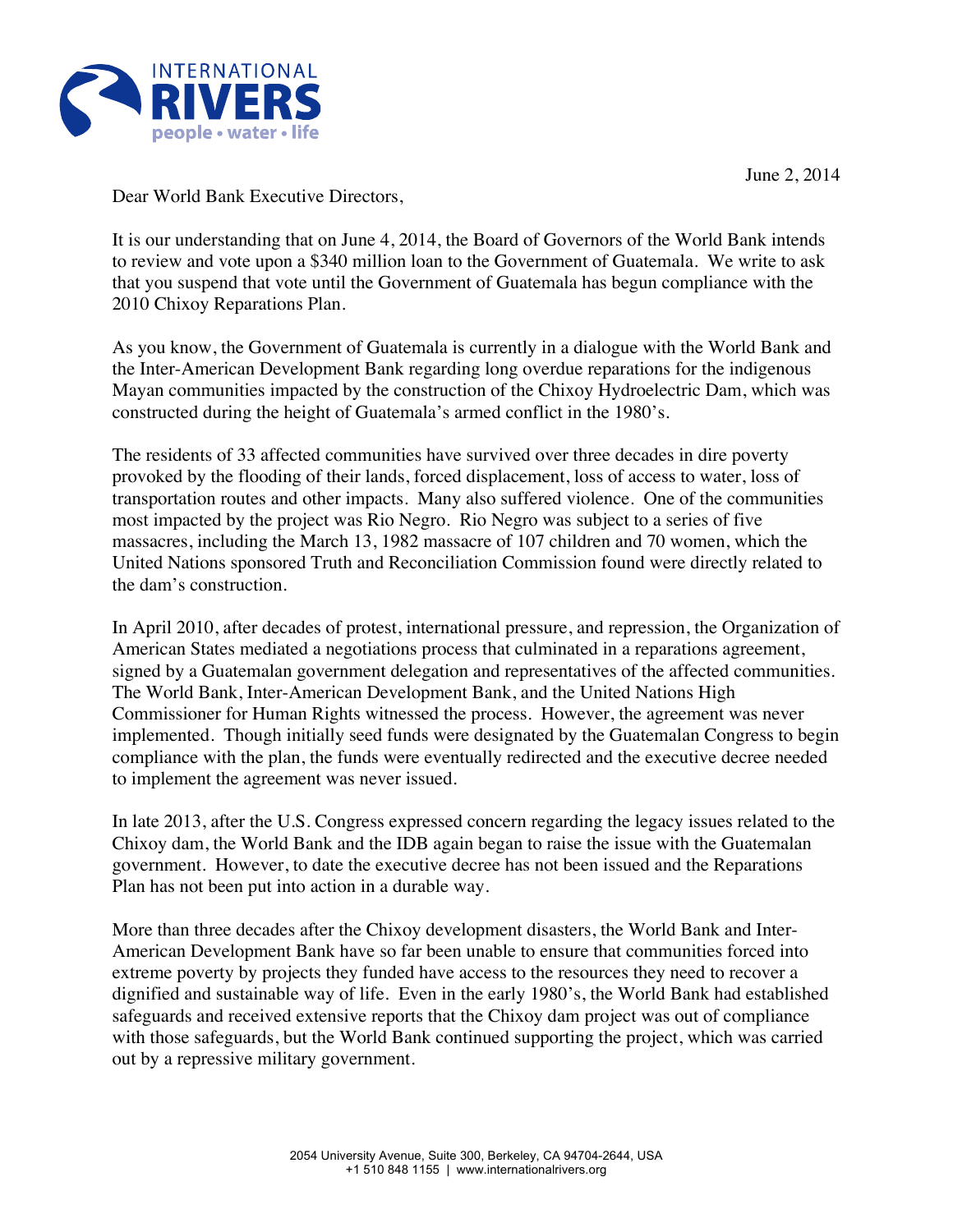

Dear World Bank Executive Directors,

It is our understanding that on June 4, 2014, the Board of Governors of the World Bank intends to review and vote upon a \$340 million loan to the Government of Guatemala. We write to ask that you suspend that vote until the Government of Guatemala has begun compliance with the 2010 Chixoy Reparations Plan.

As you know, the Government of Guatemala is currently in a dialogue with the World Bank and the Inter-American Development Bank regarding long overdue reparations for the indigenous Mayan communities impacted by the construction of the Chixoy Hydroelectric Dam, which was constructed during the height of Guatemala's armed conflict in the 1980's.

The residents of 33 affected communities have survived over three decades in dire poverty provoked by the flooding of their lands, forced displacement, loss of access to water, loss of transportation routes and other impacts. Many also suffered violence. One of the communities most impacted by the project was Rio Negro. Rio Negro was subject to a series of five massacres, including the March 13, 1982 massacre of 107 children and 70 women, which the United Nations sponsored Truth and Reconciliation Commission found were directly related to the dam's construction.

In April 2010, after decades of protest, international pressure, and repression, the Organization of American States mediated a negotiations process that culminated in a reparations agreement, signed by a Guatemalan government delegation and representatives of the affected communities. The World Bank, Inter-American Development Bank, and the United Nations High Commissioner for Human Rights witnessed the process. However, the agreement was never implemented. Though initially seed funds were designated by the Guatemalan Congress to begin compliance with the plan, the funds were eventually redirected and the executive decree needed to implement the agreement was never issued.

In late 2013, after the U.S. Congress expressed concern regarding the legacy issues related to the Chixoy dam, the World Bank and the IDB again began to raise the issue with the Guatemalan government. However, to date the executive decree has not been issued and the Reparations Plan has not been put into action in a durable way.

More than three decades after the Chixoy development disasters, the World Bank and Inter-American Development Bank have so far been unable to ensure that communities forced into extreme poverty by projects they funded have access to the resources they need to recover a dignified and sustainable way of life. Even in the early 1980's, the World Bank had established safeguards and received extensive reports that the Chixoy dam project was out of compliance with those safeguards, but the World Bank continued supporting the project, which was carried out by a repressive military government.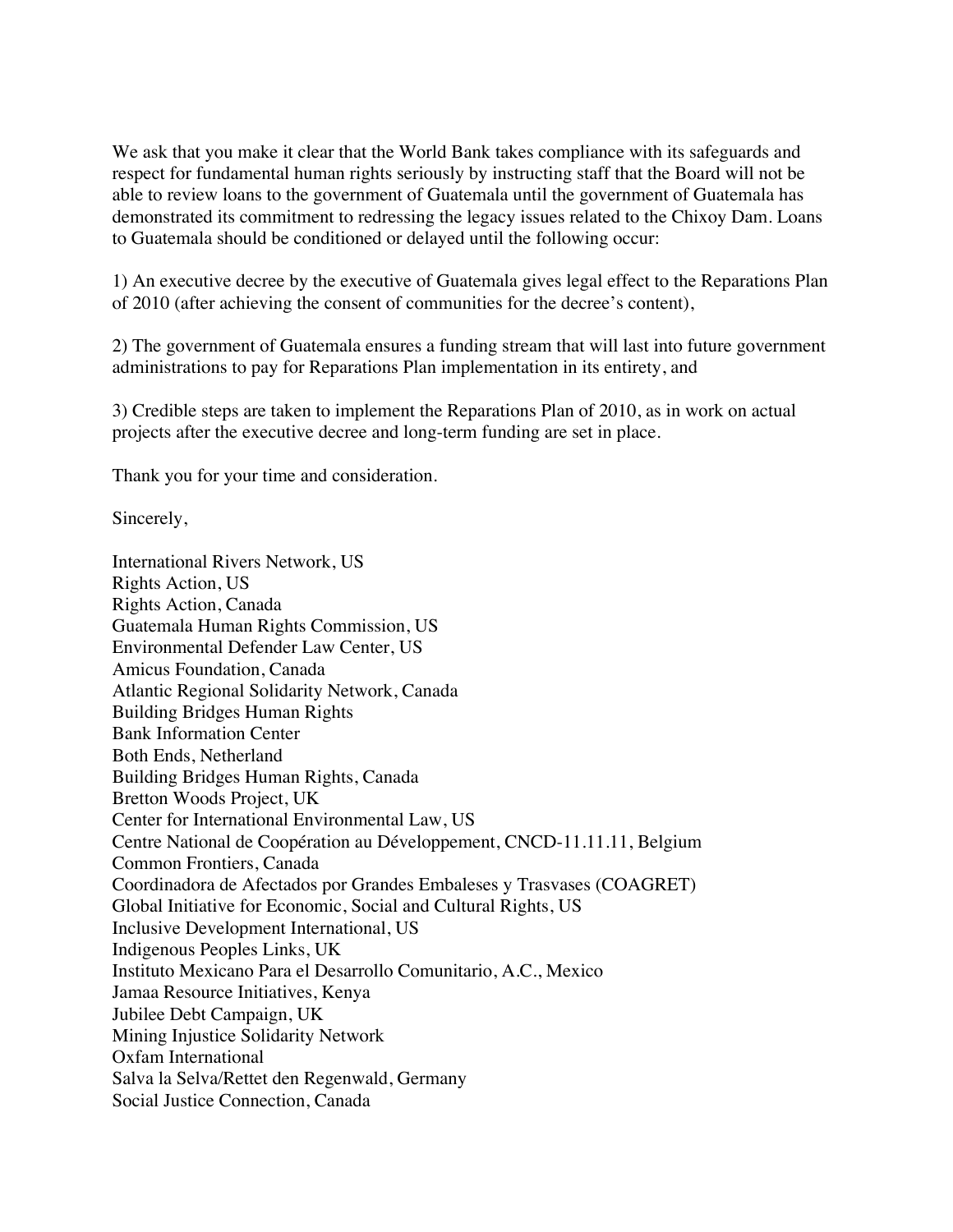We ask that you make it clear that the World Bank takes compliance with its safeguards and respect for fundamental human rights seriously by instructing staff that the Board will not be able to review loans to the government of Guatemala until the government of Guatemala has demonstrated its commitment to redressing the legacy issues related to the Chixoy Dam. Loans to Guatemala should be conditioned or delayed until the following occur:

1) An executive decree by the executive of Guatemala gives legal effect to the Reparations Plan of 2010 (after achieving the consent of communities for the decree's content),

2) The government of Guatemala ensures a funding stream that will last into future government administrations to pay for Reparations Plan implementation in its entirety, and

3) Credible steps are taken to implement the Reparations Plan of 2010, as in work on actual projects after the executive decree and long-term funding are set in place.

Thank you for your time and consideration.

Sincerely,

International Rivers Network, US Rights Action, US Rights Action, Canada Guatemala Human Rights Commission, US Environmental Defender Law Center, US Amicus Foundation, Canada Atlantic Regional Solidarity Network, Canada Building Bridges Human Rights Bank Information Center Both Ends, Netherland Building Bridges Human Rights, Canada Bretton Woods Project, UK Center for International Environmental Law, US Centre National de Coopération au Développement, CNCD-11.11.11, Belgium Common Frontiers, Canada Coordinadora de Afectados por Grandes Embaleses y Trasvases (COAGRET) Global Initiative for Economic, Social and Cultural Rights, US Inclusive Development International, US Indigenous Peoples Links, UK Instituto Mexicano Para el Desarrollo Comunitario, A.C., Mexico Jamaa Resource Initiatives, Kenya Jubilee Debt Campaign, UK Mining Injustice Solidarity Network Oxfam International Salva la Selva/Rettet den Regenwald, Germany Social Justice Connection, Canada